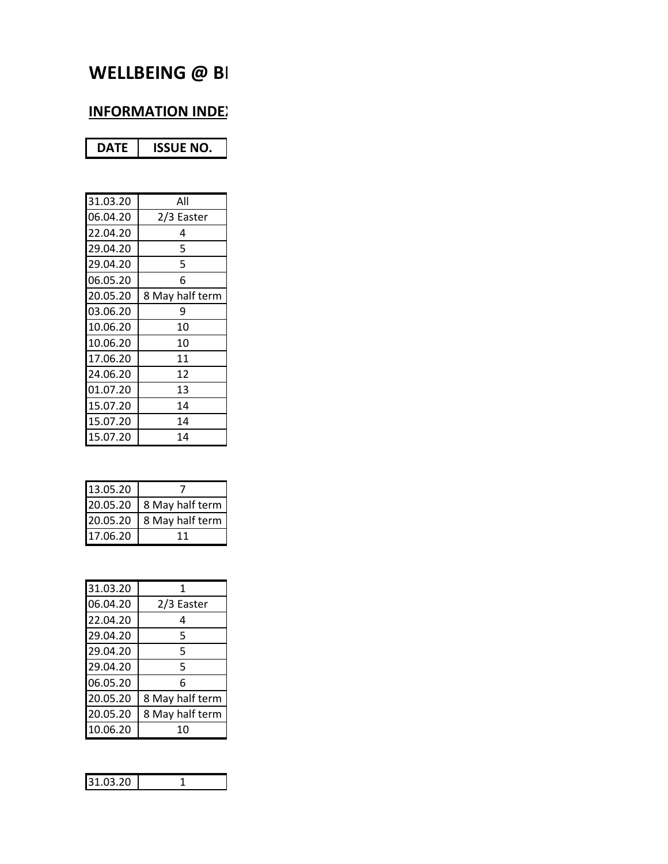# **WELLBEING @ BI**

## **INFORMATION INDEX**

| 31.03.20 | All             |
|----------|-----------------|
| 06.04.20 | 2/3 Easter      |
| 22.04.20 | 4               |
| 29.04.20 | 5               |
| 29.04.20 | 5               |
| 06.05.20 | 6               |
| 20.05.20 | 8 May half term |
| 03.06.20 | 9               |
| 10.06.20 | 10              |
| 10.06.20 | 10              |
| 17.06.20 | 11              |
| 24.06.20 | 12              |
| 01.07.20 | 13              |
| 15.07.20 | 14              |
| 15.07.20 | 14              |
| 15.07.20 | 14              |

| 13.05.20 |                 |
|----------|-----------------|
| 20.05.20 | 8 May half term |
| 20.05.20 | 8 May half term |
| 17.06.20 |                 |

| 31.03.20 | 1               |
|----------|-----------------|
| 06.04.20 | 2/3 Easter      |
| 22.04.20 | 4               |
| 29.04.20 | 5               |
| 29.04.20 | 5               |
| 29.04.20 | 5               |
| 06.05.20 | 6               |
| 20.05.20 | 8 May half term |
| 20.05.20 | 8 May half term |
| 10.06.20 | 10              |

| ັ |  |
|---|--|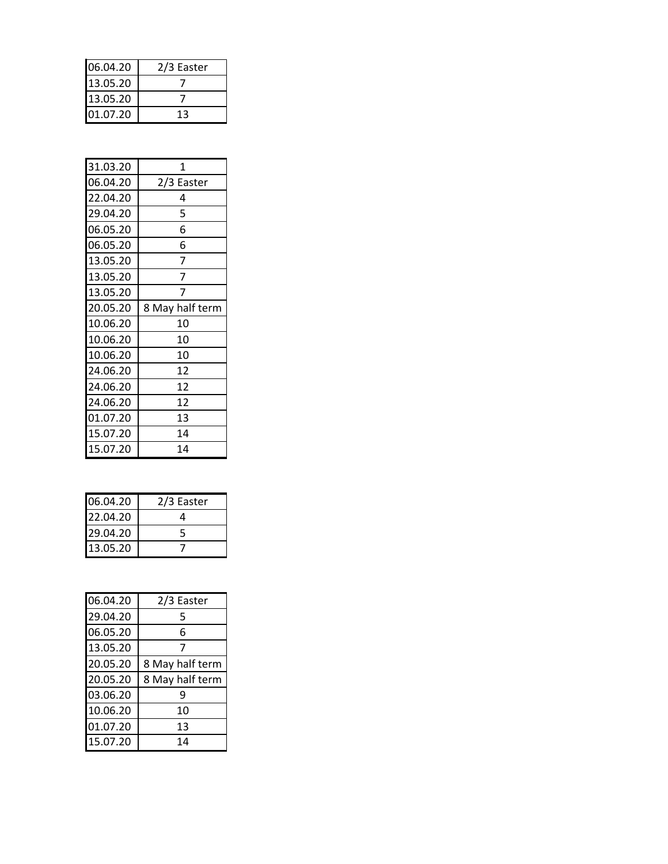| 06.04.20 | 2/3 Easter |
|----------|------------|
| 13.05.20 |            |
| 13.05.20 |            |
| 01.07.20 | 13         |

| 31.03.20 | 1               |
|----------|-----------------|
| 06.04.20 | 2/3 Easter      |
| 22.04.20 | 4               |
| 29.04.20 | 5               |
| 06.05.20 | 6               |
| 06.05.20 | 6               |
| 13.05.20 | 7               |
| 13.05.20 | 7               |
| 13.05.20 |                 |
| 20.05.20 | 8 May half term |
| 10.06.20 | 10              |
| 10.06.20 | 10              |
| 10.06.20 | 10              |
| 24.06.20 | 12              |
| 24.06.20 | 12              |
| 24.06.20 | 12              |
| 01.07.20 | 13              |
| 15.07.20 | 14              |
| 15.07.20 | 14              |

| 06.04.20 | 2/3 Easter |
|----------|------------|
| 22.04.20 |            |
| 29.04.20 |            |
| 13.05.20 |            |

| 06.04.20 | 2/3 Easter      |
|----------|-----------------|
| 29.04.20 | 5               |
| 06.05.20 | 6               |
| 13.05.20 | 7               |
| 20.05.20 | 8 May half term |
| 20.05.20 | 8 May half term |
| 03.06.20 | ٩               |
| 10.06.20 | 10              |
| 01.07.20 | 13              |
| 15.07.20 | 14              |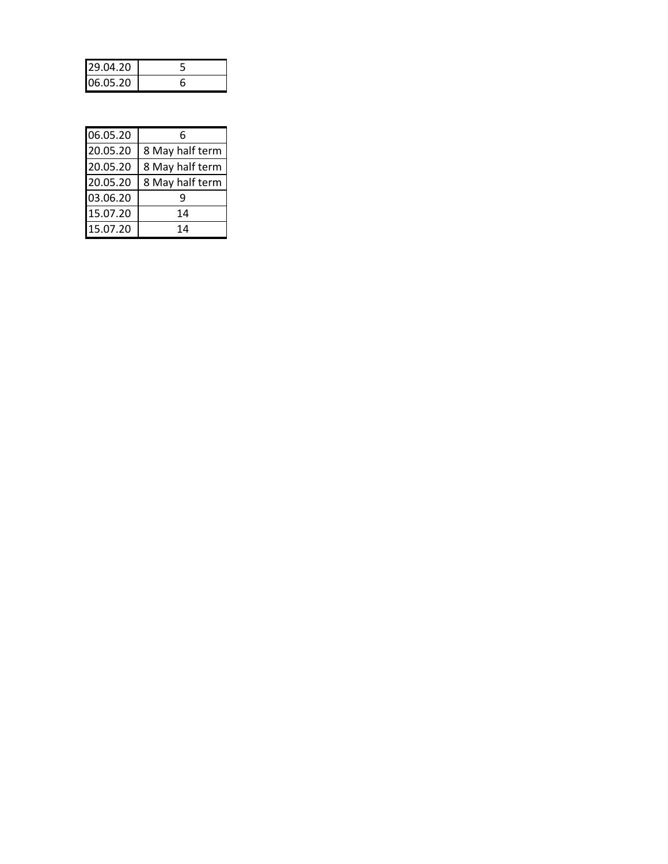| 29.04.20 |  |
|----------|--|
| 06.05.20 |  |

| 06.05.20 | հ               |
|----------|-----------------|
| 20.05.20 | 8 May half term |
| 20.05.20 | 8 May half term |
| 20.05.20 | 8 May half term |
| 03.06.20 |                 |
| 15.07.20 | 14              |
| 15.07.20 | 14              |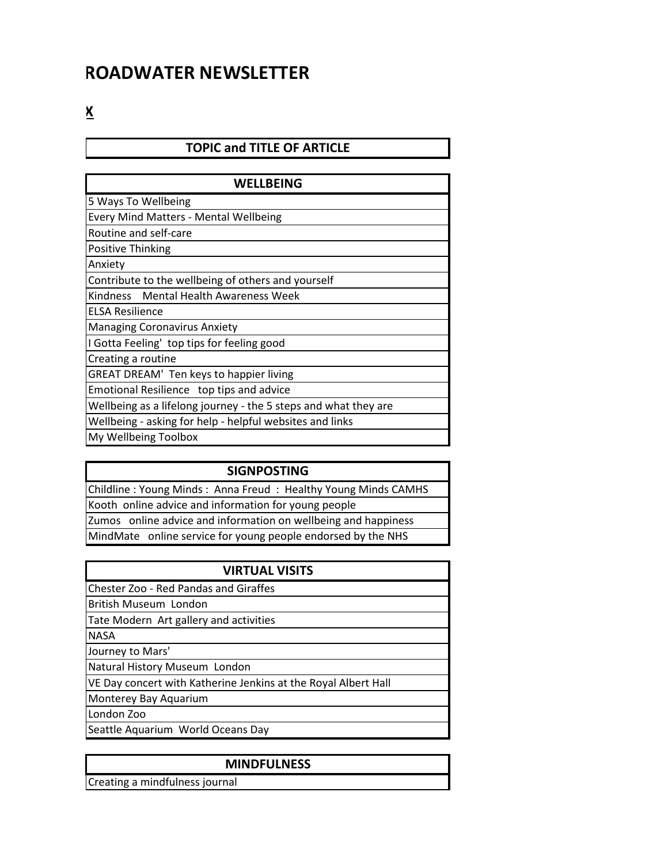## **ROADWATER NEWSLETTER**

**INFORMATION** 

### **TOPIC and TITLE OF ARTICLE**

| WELLBEING                                                       |  |  |
|-----------------------------------------------------------------|--|--|
| 5 Ways To Wellbeing                                             |  |  |
| <b>Every Mind Matters - Mental Wellbeing</b>                    |  |  |
| Routine and self-care                                           |  |  |
| <b>Positive Thinking</b>                                        |  |  |
| Anxiety                                                         |  |  |
| Contribute to the wellbeing of others and yourself              |  |  |
| Kindness Mental Health Awareness Week                           |  |  |
| <b>ELSA Resilience</b>                                          |  |  |
| <b>Managing Coronavirus Anxiety</b>                             |  |  |
| I Gotta Feeling' top tips for feeling good                      |  |  |
| Creating a routine                                              |  |  |
| GREAT DREAM' Ten keys to happier living                         |  |  |
| Emotional Resilience top tips and advice                        |  |  |
| Wellbeing as a lifelong journey - the 5 steps and what they are |  |  |
| Wellbeing - asking for help - helpful websites and links        |  |  |
| My Wellbeing Toolbox                                            |  |  |

#### **SIGNPOSTING**

Childline : Young Minds : Anna Freud : Healthy Young Minds CAMHS Kooth online advice and information for young people Zumos online advice and information on wellbeing and happiness MindMate online service for young people endorsed by the NHS

| <b>VIRTUAL VISITS</b>                                          |
|----------------------------------------------------------------|
| Chester Zoo - Red Pandas and Giraffes                          |
| British Museum London                                          |
| Tate Modern Art gallery and activities                         |
| <b>NASA</b>                                                    |
| Journey to Mars'                                               |
| Natural History Museum London                                  |
| VE Day concert with Katherine Jenkins at the Royal Albert Hall |
| Monterey Bay Aquarium                                          |

London Zoo

Seattle Aquarium World Oceans Day

#### **MINDFULNESS**

Creating a mindfulness journal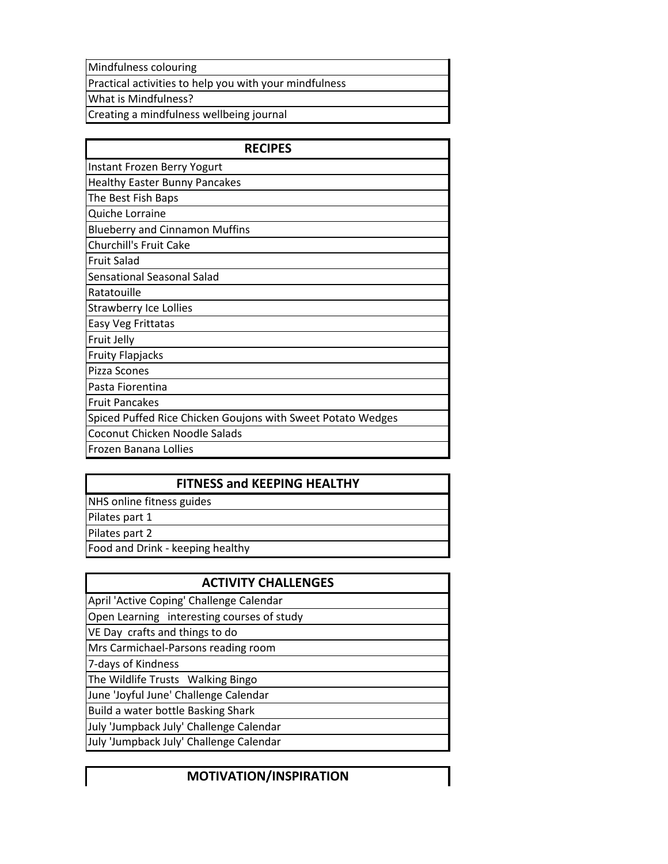Mindfulness colouring

Practical activities to help you with your mindfulness

What is Mindfulness?

Creating a mindfulness wellbeing journal

| <b>RECIPES</b>                                              |
|-------------------------------------------------------------|
| Instant Frozen Berry Yogurt                                 |
| <b>Healthy Easter Bunny Pancakes</b>                        |
| The Best Fish Baps                                          |
| Quiche Lorraine                                             |
| <b>Blueberry and Cinnamon Muffins</b>                       |
| <b>Churchill's Fruit Cake</b>                               |
| <b>Fruit Salad</b>                                          |
| Sensational Seasonal Salad                                  |
| Ratatouille                                                 |
| <b>Strawberry Ice Lollies</b>                               |
| Easy Veg Frittatas                                          |
| Fruit Jelly                                                 |
| <b>Fruity Flapjacks</b>                                     |
| Pizza Scones                                                |
| Pasta Fiorentina                                            |
| <b>Fruit Pancakes</b>                                       |
| Spiced Puffed Rice Chicken Goujons with Sweet Potato Wedges |
| Coconut Chicken Noodle Salads                               |
| Frozen Banana Lollies                                       |

#### **FITNESS and KEEPING HEALTHY**

NHS online fitness guides

Pilates part 1

Pilates part 2

Food and Drink - keeping healthy

#### **ACTIVITY CHALLENGES**

April 'Active Coping' Challenge Calendar

Open Learning interesting courses of study

VE Day crafts and things to do

Mrs Carmichael-Parsons reading room

7-days of Kindness

The Wildlife Trusts Walking Bingo

June 'Joyful June' Challenge Calendar

Build a water bottle Basking Shark

July 'Jumpback July' Challenge Calendar

July 'Jumpback July' Challenge Calendar

### **MOTIVATION/INSPIRATION**